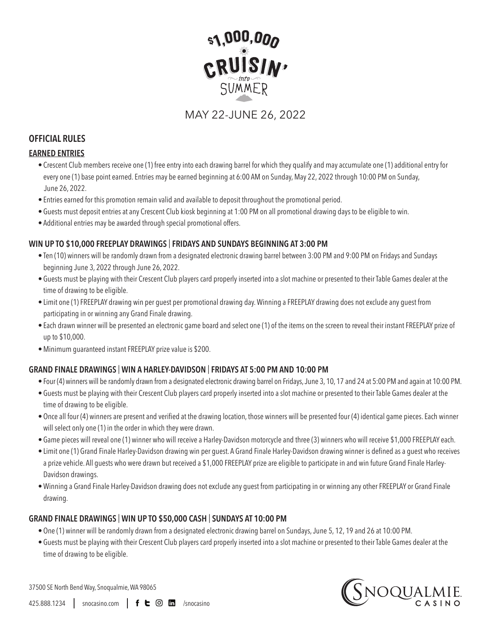

MAY 22-JUNE 26, 2022

## **OFFICIAL RULES**

#### **EARNED ENTRIES**

- Crescent Club members receive one (1) free entry into each drawing barrel for which they qualify and may accumulate one (1) additional entry for every one (1) base point earned. Entries may be earned beginning at 6:00 AM on Sunday, May 22, 2022 through 10:00 PM on Sunday, June 26, 2022.
- Entries earned for this promotion remain valid and available to deposit throughout the promotional period.
- Guests must deposit entries at any Crescent Club kiosk beginning at 1:00 PM on all promotional drawing days to be eligible to win.
- Additional entries may be awarded through special promotional offers.

### **WIN UP TO \$10,000 FREEPLAY DRAWINGS** | **FRIDAYS AND SUNDAYS BEGINNING AT 3:00 PM**

- Ten (10) winners will be randomly drawn from a designated electronic drawing barrel between 3:00 PM and 9:00 PM on Fridays and Sundays beginning June 3, 2022 through June 26, 2022.
- Guests must be playing with their Crescent Club players card properly inserted into a slot machine or presented to their Table Games dealer at the time of drawing to be eligible.
- Limit one (1) FREEPLAY drawing win per guest per promotional drawing day. Winning a FREEPLAY drawing does not exclude any guest from participating in or winning any Grand Finale drawing.
- Each drawn winner will be presented an electronic game board and select one (1) of the items on the screen to reveal their instant FREEPLAY prize of up to \$10,000.
- Minimum guaranteed instant FREEPLAY prize value is \$200.

# **GRAND FINALE DRAWINGS** | **WIN A HARLEY-DAVIDSON** | **FRIDAYS AT 5:00 PM AND 10:00 PM**

- Four (4) winners will be randomly drawn from a designated electronic drawing barrel on Fridays, June 3, 10, 17 and 24 at 5:00 PM and again at 10:00 PM.
- Guests must be playing with their Crescent Club players card properly inserted into a slot machine or presented to their Table Games dealer at the time of drawing to be eligible.
- • Once all four (4) winners are present and verified at the drawing location, those winners will be presented four (4) identical game pieces. Each winner will select only one (1) in the order in which they were drawn.
- Game pieces will reveal one (1) winner who will receive a Harley-Davidson motorcycle and three (3) winners who will receive \$1,000 FREEPLAY each.
- • Limit one (1) Grand Finale Harley-Davidson drawing win per guest. A Grand Finale Harley-Davidson drawing winner is defined as a guest who receives a prize vehicle. All guests who were drawn but received a \$1,000 FREEPLAY prize are eligible to participate in and win future Grand Finale Harley-Davidson drawings.
- Winning a Grand Finale Harley-Davidson drawing does not exclude any guest from participating in or winning any other FREEPLAY or Grand Finale drawing.

### **GRAND FINALE DRAWINGS** | **WIN UP TO \$50,000 CASH** | **SUNDAYS AT 10:00 PM**

- One (1) winner will be randomly drawn from a designated electronic drawing barrel on Sundays, June 5, 12, 19 and 26 at 10:00 PM.
- Guests must be playing with their Crescent Club players card properly inserted into a slot machine or presented to their Table Games dealer at the time of drawing to be eligible.



37500 SE North Bend Way, Snoqualmie, WA 98065